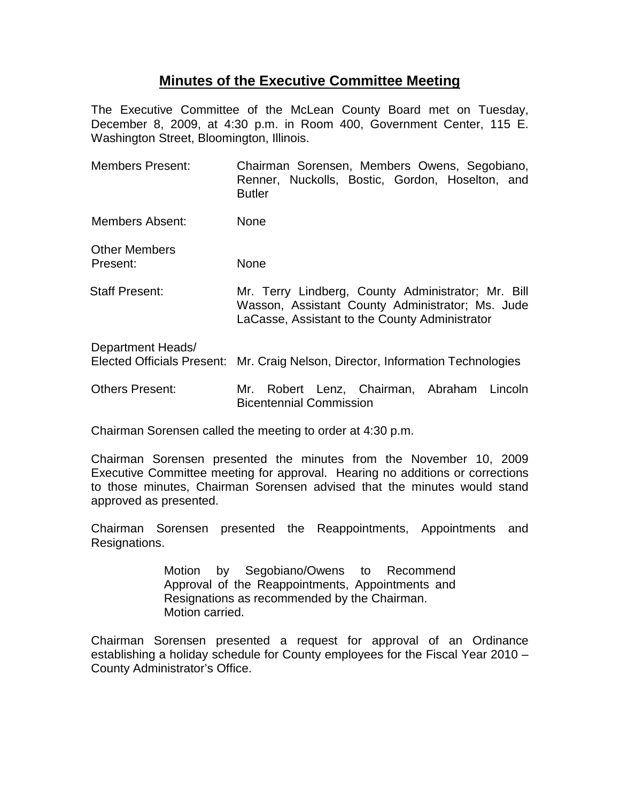## **Minutes of the Executive Committee Meeting**

The Executive Committee of the McLean County Board met on Tuesday, December 8, 2009, at 4:30 p.m. in Room 400, Government Center, 115 E. Washington Street, Bloomington, Illinois.

| <b>Members Present:</b>                                | Chairman Sorensen, Members Owens, Segobiano,<br>Renner, Nuckolls, Bostic, Gordon, Hoselton, and<br><b>Butler</b>                                         |
|--------------------------------------------------------|----------------------------------------------------------------------------------------------------------------------------------------------------------|
| Members Absent:                                        | None                                                                                                                                                     |
| <b>Other Members</b><br>Present:                       | None                                                                                                                                                     |
| Staff Present:                                         | Mr. Terry Lindberg, County Administrator; Mr. Bill<br>Wasson, Assistant County Administrator; Ms. Jude<br>LaCasse, Assistant to the County Administrator |
| Department Heads/<br><b>Elected Officials Present:</b> | Mr. Craig Nelson, Director, Information Technologies                                                                                                     |
| <b>Others Present:</b>                                 | Robert Lenz, Chairman, Abraham Lincoln<br>Mr.<br><b>Bicentennial Commission</b>                                                                          |

Chairman Sorensen called the meeting to order at 4:30 p.m.

Chairman Sorensen presented the minutes from the November 10, 2009 Executive Committee meeting for approval. Hearing no additions or corrections to those minutes, Chairman Sorensen advised that the minutes would stand approved as presented.

Chairman Sorensen presented the Reappointments, Appointments and Resignations.

> Motion by Segobiano/Owens to Recommend Approval of the Reappointments, Appointments and Resignations as recommended by the Chairman. Motion carried.

Chairman Sorensen presented a request for approval of an Ordinance establishing a holiday schedule for County employees for the Fiscal Year 2010 – County Administrator's Office.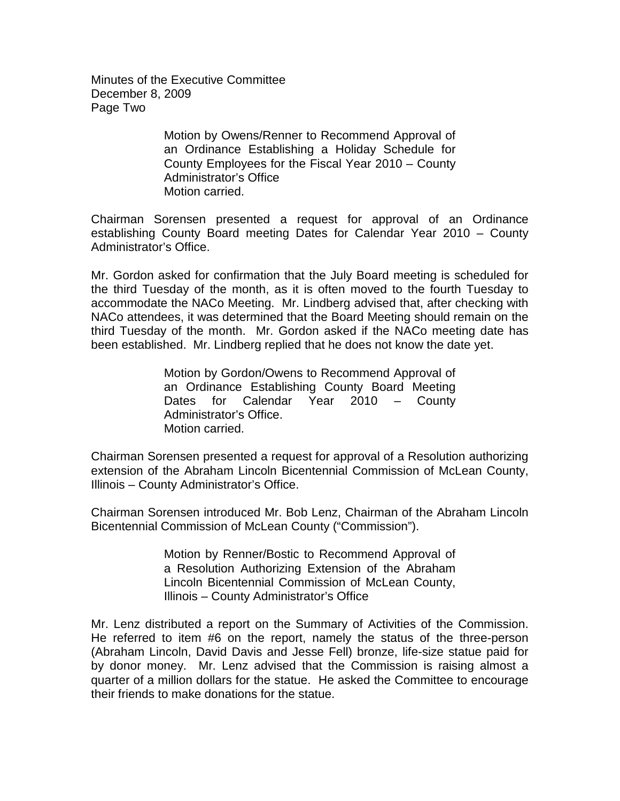Minutes of the Executive Committee December 8, 2009 Page Two

> Motion by Owens/Renner to Recommend Approval of an Ordinance Establishing a Holiday Schedule for County Employees for the Fiscal Year 2010 – County Administrator's Office Motion carried.

Chairman Sorensen presented a request for approval of an Ordinance establishing County Board meeting Dates for Calendar Year 2010 – County Administrator's Office.

Mr. Gordon asked for confirmation that the July Board meeting is scheduled for the third Tuesday of the month, as it is often moved to the fourth Tuesday to accommodate the NACo Meeting. Mr. Lindberg advised that, after checking with NACo attendees, it was determined that the Board Meeting should remain on the third Tuesday of the month. Mr. Gordon asked if the NACo meeting date has been established. Mr. Lindberg replied that he does not know the date yet.

> Motion by Gordon/Owens to Recommend Approval of an Ordinance Establishing County Board Meeting Dates for Calendar Year 2010 – County Administrator's Office. Motion carried.

Chairman Sorensen presented a request for approval of a Resolution authorizing extension of the Abraham Lincoln Bicentennial Commission of McLean County, Illinois – County Administrator's Office.

Chairman Sorensen introduced Mr. Bob Lenz, Chairman of the Abraham Lincoln Bicentennial Commission of McLean County ("Commission").

> Motion by Renner/Bostic to Recommend Approval of a Resolution Authorizing Extension of the Abraham Lincoln Bicentennial Commission of McLean County, Illinois – County Administrator's Office

Mr. Lenz distributed a report on the Summary of Activities of the Commission. He referred to item #6 on the report, namely the status of the three-person (Abraham Lincoln, David Davis and Jesse Fell) bronze, life-size statue paid for by donor money. Mr. Lenz advised that the Commission is raising almost a quarter of a million dollars for the statue. He asked the Committee to encourage their friends to make donations for the statue.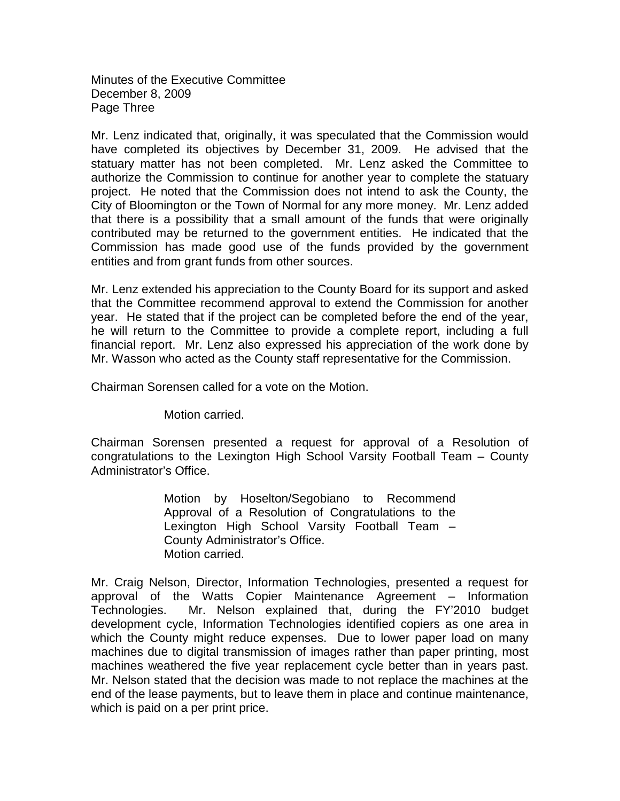Minutes of the Executive Committee December 8, 2009 Page Three

Mr. Lenz indicated that, originally, it was speculated that the Commission would have completed its objectives by December 31, 2009. He advised that the statuary matter has not been completed. Mr. Lenz asked the Committee to authorize the Commission to continue for another year to complete the statuary project. He noted that the Commission does not intend to ask the County, the City of Bloomington or the Town of Normal for any more money. Mr. Lenz added that there is a possibility that a small amount of the funds that were originally contributed may be returned to the government entities. He indicated that the Commission has made good use of the funds provided by the government entities and from grant funds from other sources.

Mr. Lenz extended his appreciation to the County Board for its support and asked that the Committee recommend approval to extend the Commission for another year. He stated that if the project can be completed before the end of the year, he will return to the Committee to provide a complete report, including a full financial report. Mr. Lenz also expressed his appreciation of the work done by Mr. Wasson who acted as the County staff representative for the Commission.

Chairman Sorensen called for a vote on the Motion.

Motion carried.

Chairman Sorensen presented a request for approval of a Resolution of congratulations to the Lexington High School Varsity Football Team – County Administrator's Office.

> Motion by Hoselton/Segobiano to Recommend Approval of a Resolution of Congratulations to the Lexington High School Varsity Football Team – County Administrator's Office. Motion carried.

Mr. Craig Nelson, Director, Information Technologies, presented a request for approval of the Watts Copier Maintenance Agreement – Information Technologies. Mr. Nelson explained that, during the FY'2010 budget development cycle, Information Technologies identified copiers as one area in which the County might reduce expenses. Due to lower paper load on many machines due to digital transmission of images rather than paper printing, most machines weathered the five year replacement cycle better than in years past. Mr. Nelson stated that the decision was made to not replace the machines at the end of the lease payments, but to leave them in place and continue maintenance, which is paid on a per print price.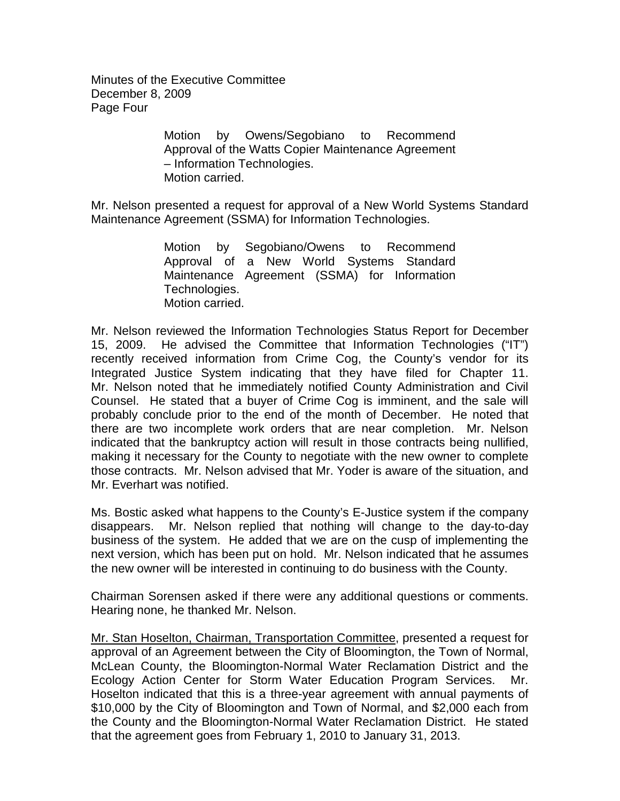Minutes of the Executive Committee December 8, 2009 Page Four

> Motion by Owens/Segobiano to Recommend Approval of the Watts Copier Maintenance Agreement – Information Technologies. Motion carried.

Mr. Nelson presented a request for approval of a New World Systems Standard Maintenance Agreement (SSMA) for Information Technologies.

> Motion by Segobiano/Owens to Recommend Approval of a New World Systems Standard Maintenance Agreement (SSMA) for Information Technologies. Motion carried.

Mr. Nelson reviewed the Information Technologies Status Report for December 15, 2009. He advised the Committee that Information Technologies ("IT") recently received information from Crime Cog, the County's vendor for its Integrated Justice System indicating that they have filed for Chapter 11. Mr. Nelson noted that he immediately notified County Administration and Civil Counsel. He stated that a buyer of Crime Cog is imminent, and the sale will probably conclude prior to the end of the month of December. He noted that there are two incomplete work orders that are near completion. Mr. Nelson indicated that the bankruptcy action will result in those contracts being nullified, making it necessary for the County to negotiate with the new owner to complete those contracts. Mr. Nelson advised that Mr. Yoder is aware of the situation, and Mr. Everhart was notified.

Ms. Bostic asked what happens to the County's E-Justice system if the company disappears. Mr. Nelson replied that nothing will change to the day-to-day business of the system. He added that we are on the cusp of implementing the next version, which has been put on hold. Mr. Nelson indicated that he assumes the new owner will be interested in continuing to do business with the County.

Chairman Sorensen asked if there were any additional questions or comments. Hearing none, he thanked Mr. Nelson.

Mr. Stan Hoselton, Chairman, Transportation Committee, presented a request for approval of an Agreement between the City of Bloomington, the Town of Normal, McLean County, the Bloomington-Normal Water Reclamation District and the Ecology Action Center for Storm Water Education Program Services. Mr. Hoselton indicated that this is a three-year agreement with annual payments of \$10,000 by the City of Bloomington and Town of Normal, and \$2,000 each from the County and the Bloomington-Normal Water Reclamation District. He stated that the agreement goes from February 1, 2010 to January 31, 2013.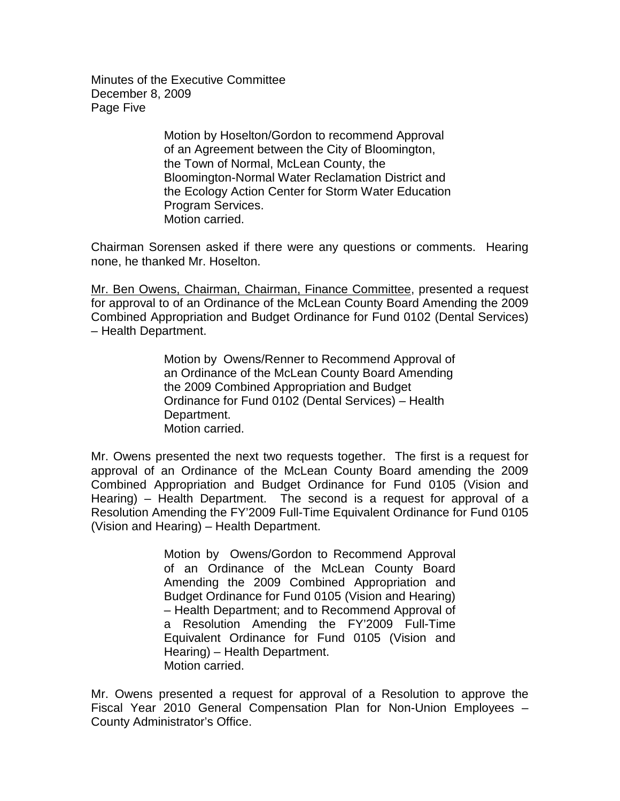Minutes of the Executive Committee December 8, 2009 Page Five

> Motion by Hoselton/Gordon to recommend Approval of an Agreement between the City of Bloomington, the Town of Normal, McLean County, the Bloomington-Normal Water Reclamation District and the Ecology Action Center for Storm Water Education Program Services. Motion carried.

Chairman Sorensen asked if there were any questions or comments. Hearing none, he thanked Mr. Hoselton.

Mr. Ben Owens, Chairman, Chairman, Finance Committee, presented a request for approval to of an Ordinance of the McLean County Board Amending the 2009 Combined Appropriation and Budget Ordinance for Fund 0102 (Dental Services) – Health Department.

> Motion by Owens/Renner to Recommend Approval of an Ordinance of the McLean County Board Amending the 2009 Combined Appropriation and Budget Ordinance for Fund 0102 (Dental Services) – Health Department. Motion carried.

Mr. Owens presented the next two requests together. The first is a request for approval of an Ordinance of the McLean County Board amending the 2009 Combined Appropriation and Budget Ordinance for Fund 0105 (Vision and Hearing) – Health Department. The second is a request for approval of a Resolution Amending the FY'2009 Full-Time Equivalent Ordinance for Fund 0105 (Vision and Hearing) – Health Department.

> Motion by Owens/Gordon to Recommend Approval of an Ordinance of the McLean County Board Amending the 2009 Combined Appropriation and Budget Ordinance for Fund 0105 (Vision and Hearing) – Health Department; and to Recommend Approval of a Resolution Amending the FY'2009 Full-Time Equivalent Ordinance for Fund 0105 (Vision and Hearing) – Health Department. Motion carried.

Mr. Owens presented a request for approval of a Resolution to approve the Fiscal Year 2010 General Compensation Plan for Non-Union Employees – County Administrator's Office.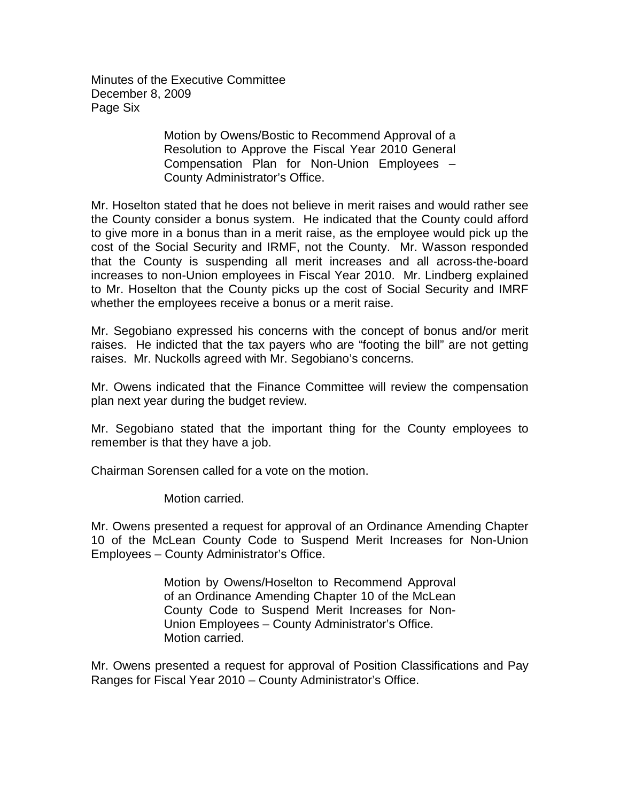Minutes of the Executive Committee December 8, 2009 Page Six

> Motion by Owens/Bostic to Recommend Approval of a Resolution to Approve the Fiscal Year 2010 General Compensation Plan for Non-Union Employees – County Administrator's Office.

Mr. Hoselton stated that he does not believe in merit raises and would rather see the County consider a bonus system. He indicated that the County could afford to give more in a bonus than in a merit raise, as the employee would pick up the cost of the Social Security and IRMF, not the County. Mr. Wasson responded that the County is suspending all merit increases and all across-the-board increases to non-Union employees in Fiscal Year 2010. Mr. Lindberg explained to Mr. Hoselton that the County picks up the cost of Social Security and IMRF whether the employees receive a bonus or a merit raise.

Mr. Segobiano expressed his concerns with the concept of bonus and/or merit raises. He indicted that the tax payers who are "footing the bill" are not getting raises. Mr. Nuckolls agreed with Mr. Segobiano's concerns.

Mr. Owens indicated that the Finance Committee will review the compensation plan next year during the budget review.

Mr. Segobiano stated that the important thing for the County employees to remember is that they have a job.

Chairman Sorensen called for a vote on the motion.

Motion carried.

Mr. Owens presented a request for approval of an Ordinance Amending Chapter 10 of the McLean County Code to Suspend Merit Increases for Non-Union Employees – County Administrator's Office.

> Motion by Owens/Hoselton to Recommend Approval of an Ordinance Amending Chapter 10 of the McLean County Code to Suspend Merit Increases for Non-Union Employees – County Administrator's Office. Motion carried.

Mr. Owens presented a request for approval of Position Classifications and Pay Ranges for Fiscal Year 2010 – County Administrator's Office.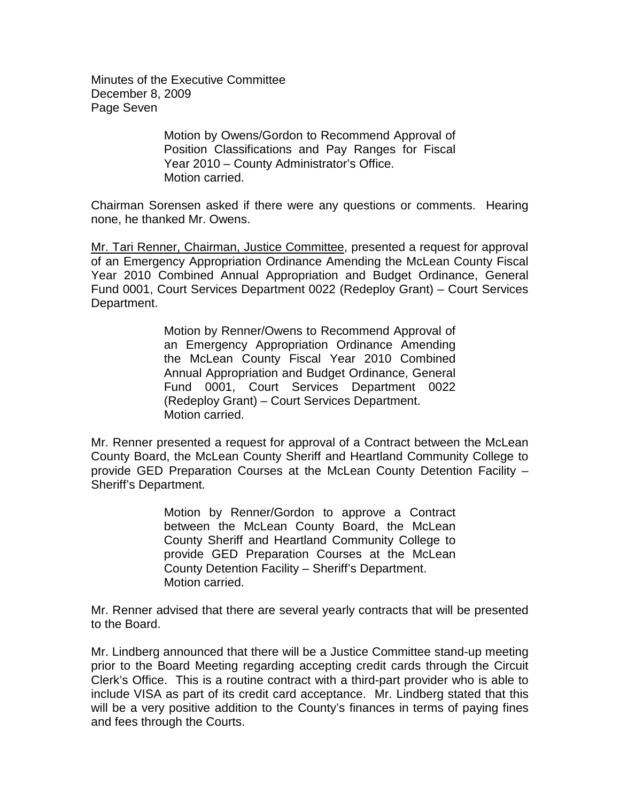Minutes of the Executive Committee December 8, 2009 Page Seven

> Motion by Owens/Gordon to Recommend Approval of Position Classifications and Pay Ranges for Fiscal Year 2010 – County Administrator's Office. Motion carried.

Chairman Sorensen asked if there were any questions or comments. Hearing none, he thanked Mr. Owens.

Mr. Tari Renner, Chairman, Justice Committee, presented a request for approval of an Emergency Appropriation Ordinance Amending the McLean County Fiscal Year 2010 Combined Annual Appropriation and Budget Ordinance, General Fund 0001, Court Services Department 0022 (Redeploy Grant) – Court Services Department.

> Motion by Renner/Owens to Recommend Approval of an Emergency Appropriation Ordinance Amending the McLean County Fiscal Year 2010 Combined Annual Appropriation and Budget Ordinance, General Fund 0001, Court Services Department 0022 (Redeploy Grant) – Court Services Department. Motion carried.

Mr. Renner presented a request for approval of a Contract between the McLean County Board, the McLean County Sheriff and Heartland Community College to provide GED Preparation Courses at the McLean County Detention Facility – Sheriff's Department.

> Motion by Renner/Gordon to approve a Contract between the McLean County Board, the McLean County Sheriff and Heartland Community College to provide GED Preparation Courses at the McLean County Detention Facility – Sheriff's Department. Motion carried.

Mr. Renner advised that there are several yearly contracts that will be presented to the Board.

Mr. Lindberg announced that there will be a Justice Committee stand-up meeting prior to the Board Meeting regarding accepting credit cards through the Circuit Clerk's Office. This is a routine contract with a third-part provider who is able to include VISA as part of its credit card acceptance. Mr. Lindberg stated that this will be a very positive addition to the County's finances in terms of paying fines and fees through the Courts.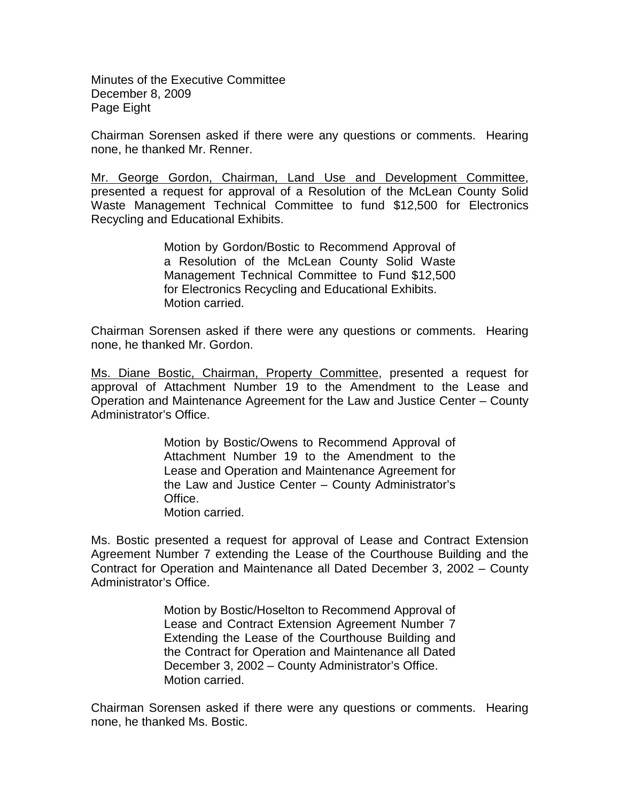Minutes of the Executive Committee December 8, 2009 Page Eight

Chairman Sorensen asked if there were any questions or comments. Hearing none, he thanked Mr. Renner.

Mr. George Gordon, Chairman, Land Use and Development Committee, presented a request for approval of a Resolution of the McLean County Solid Waste Management Technical Committee to fund \$12,500 for Electronics Recycling and Educational Exhibits.

> Motion by Gordon/Bostic to Recommend Approval of a Resolution of the McLean County Solid Waste Management Technical Committee to Fund \$12,500 for Electronics Recycling and Educational Exhibits. Motion carried.

Chairman Sorensen asked if there were any questions or comments. Hearing none, he thanked Mr. Gordon.

Ms. Diane Bostic, Chairman, Property Committee, presented a request for approval of Attachment Number 19 to the Amendment to the Lease and Operation and Maintenance Agreement for the Law and Justice Center – County Administrator's Office.

> Motion by Bostic/Owens to Recommend Approval of Attachment Number 19 to the Amendment to the Lease and Operation and Maintenance Agreement for the Law and Justice Center – County Administrator's Office. Motion carried.

Ms. Bostic presented a request for approval of Lease and Contract Extension Agreement Number 7 extending the Lease of the Courthouse Building and the Contract for Operation and Maintenance all Dated December 3, 2002 – County Administrator's Office.

> Motion by Bostic/Hoselton to Recommend Approval of Lease and Contract Extension Agreement Number 7 Extending the Lease of the Courthouse Building and the Contract for Operation and Maintenance all Dated December 3, 2002 – County Administrator's Office. Motion carried.

Chairman Sorensen asked if there were any questions or comments. Hearing none, he thanked Ms. Bostic.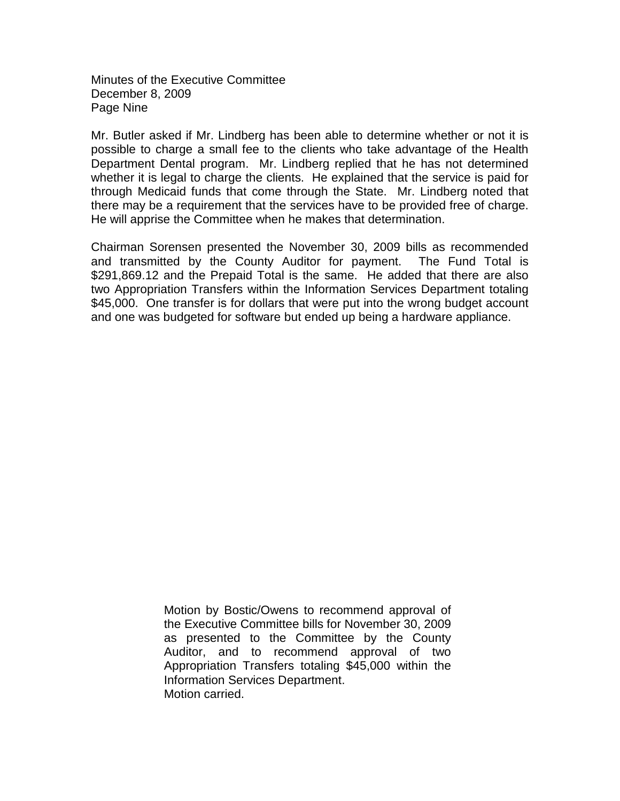Minutes of the Executive Committee December 8, 2009 Page Nine

Mr. Butler asked if Mr. Lindberg has been able to determine whether or not it is possible to charge a small fee to the clients who take advantage of the Health Department Dental program. Mr. Lindberg replied that he has not determined whether it is legal to charge the clients. He explained that the service is paid for through Medicaid funds that come through the State. Mr. Lindberg noted that there may be a requirement that the services have to be provided free of charge. He will apprise the Committee when he makes that determination.

Chairman Sorensen presented the November 30, 2009 bills as recommended and transmitted by the County Auditor for payment. The Fund Total is \$291,869.12 and the Prepaid Total is the same. He added that there are also two Appropriation Transfers within the Information Services Department totaling \$45,000. One transfer is for dollars that were put into the wrong budget account and one was budgeted for software but ended up being a hardware appliance.

> Motion by Bostic/Owens to recommend approval of the Executive Committee bills for November 30, 2009 as presented to the Committee by the County Auditor, and to recommend approval of two Appropriation Transfers totaling \$45,000 within the Information Services Department. Motion carried.